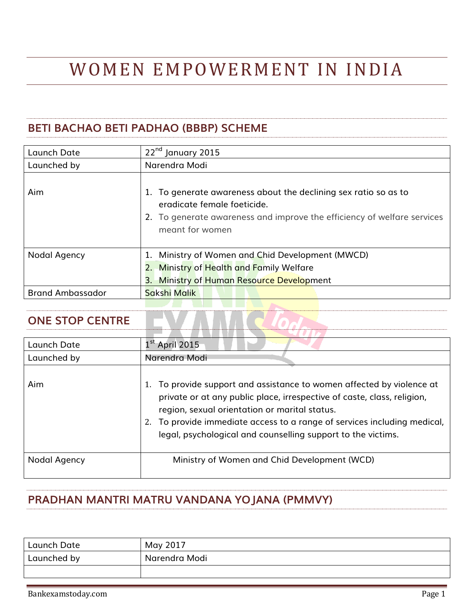# WOMEN EMPOWERMENT IN INDIA

## **BETI BACHAO BETI PADHAO (BBBP) SCHEME**

| Launch Date             | 22 <sup>nd</sup> January 2015                                                                                                                                                                |
|-------------------------|----------------------------------------------------------------------------------------------------------------------------------------------------------------------------------------------|
| Launched by             | Narendra Modi                                                                                                                                                                                |
| Aim                     | 1. To generate awareness about the declining sex ratio so as to<br>eradicate female foeticide.<br>2. To generate awareness and improve the efficiency of welfare services<br>meant for women |
| Nodal Agency            | 1. Ministry of Women and Chid Development (MWCD)<br>2. Ministry of Health and Family Welfare<br><b>Ministry of Human Resource Development</b><br>3. .                                        |
| <b>Brand Ambassador</b> | Sakshi Malik                                                                                                                                                                                 |

#### **ONE STOP CENTRE**

| Launch Date  | $1^{\rm st}$ April 2015                                                                                                                                                                                                                                                                                                                    |
|--------------|--------------------------------------------------------------------------------------------------------------------------------------------------------------------------------------------------------------------------------------------------------------------------------------------------------------------------------------------|
| Launched by  | Narendra Modi                                                                                                                                                                                                                                                                                                                              |
| Aim          | To provide support and assistance to women affected by violence at<br>private or at any public place, irrespective of caste, class, religion,<br>region, sexual orientation or marital status.<br>2. To provide immediate access to a range of services including medical,<br>legal, psychological and counselling support to the victims. |
| Nodal Agency | Ministry of Women and Chid Development (WCD)                                                                                                                                                                                                                                                                                               |

#### **PRADHAN MANTRI MATRU VANDANA YOJANA (PMMVY)**

| Launch Date | May 2017      |
|-------------|---------------|
| Launched by | Narendra Modi |
|             |               |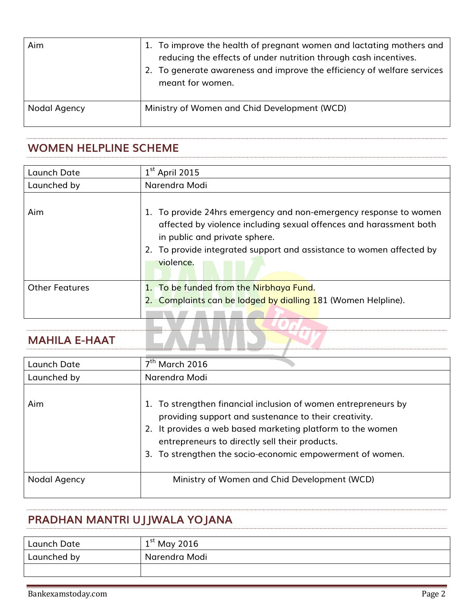| Aim          | 1. To improve the health of pregnant women and lactating mothers and<br>reducing the effects of under nutrition through cash incentives.<br>2. To generate awareness and improve the efficiency of welfare services<br>meant for women. |
|--------------|-----------------------------------------------------------------------------------------------------------------------------------------------------------------------------------------------------------------------------------------|
| Nodal Agency | Ministry of Women and Chid Development (WCD)                                                                                                                                                                                            |

#### **WOMEN HELPLINE SCHEME**

| Launch Date           | $1st$ April 2015                                                                                                                                                                                                                                              |
|-----------------------|---------------------------------------------------------------------------------------------------------------------------------------------------------------------------------------------------------------------------------------------------------------|
| Launched by           | Narendra Modi                                                                                                                                                                                                                                                 |
| Aim                   | 1. To provide 24hrs emergency and non-emergency response to women<br>affected by violence including sexual offences and harassment both<br>in public and private sphere.<br>2. To provide integrated support and assistance to women affected by<br>violence. |
| <b>Other Features</b> | 1. To be funded from the Nirbhaya Fund.<br>2. Complaints can be lodged by dialling 181 (Women Helpline).                                                                                                                                                      |

## **MAHILA E-HAAT**

| Launch Date  | $7th$ March 2016                                                                                                                                                                                                                                                                                     |
|--------------|------------------------------------------------------------------------------------------------------------------------------------------------------------------------------------------------------------------------------------------------------------------------------------------------------|
| Launched by  | Narendra Modi                                                                                                                                                                                                                                                                                        |
| Aim          | 1. To strengthen financial inclusion of women entrepreneurs by<br>providing support and sustenance to their creativity.<br>2. It provides a web based marketing platform to the women<br>entrepreneurs to directly sell their products.<br>3. To strengthen the socio-economic empowerment of women. |
| Nodal Agency | Ministry of Women and Chid Development (WCD)                                                                                                                                                                                                                                                         |

## **PRADHAN MANTRI UJJWALA YOJANA**

| Launch Date | $1st$ May 2016 |
|-------------|----------------|
| Launched by | Narendra Modi  |
|             |                |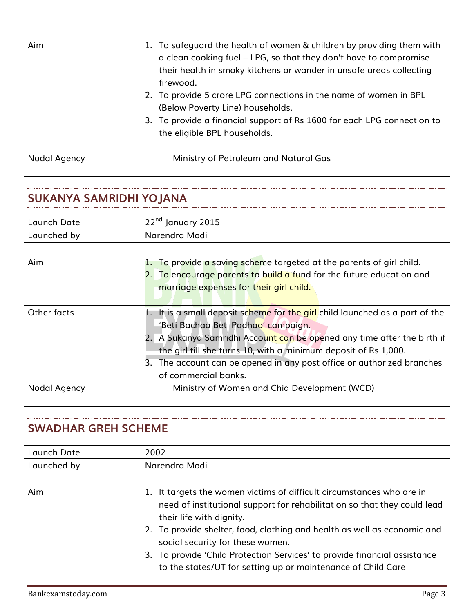| Aim          | 1. To safeguard the health of women & children by providing them with<br>a clean cooking fuel – LPG, so that they don't have to compromise<br>their health in smoky kitchens or wander in unsafe areas collecting<br>firewood.<br>2. To provide 5 crore LPG connections in the name of women in BPL<br>(Below Poverty Line) households.<br>3. To provide a financial support of Rs 1600 for each LPG connection to<br>the eligible BPL households. |
|--------------|----------------------------------------------------------------------------------------------------------------------------------------------------------------------------------------------------------------------------------------------------------------------------------------------------------------------------------------------------------------------------------------------------------------------------------------------------|
| Nodal Agency | Ministry of Petroleum and Natural Gas                                                                                                                                                                                                                                                                                                                                                                                                              |

## **SUKANYA SAMRIDHI YOJANA**

| Launch Date  | 22 <sup>nd</sup> January 2015                                                                                                                                                                                                                                                                                                                                       |
|--------------|---------------------------------------------------------------------------------------------------------------------------------------------------------------------------------------------------------------------------------------------------------------------------------------------------------------------------------------------------------------------|
| Launched by  | Narendra Modi                                                                                                                                                                                                                                                                                                                                                       |
| Aim          | 1. To provide a saving scheme targeted at the parents of girl child.<br>2. To encourage parents to build a fund for the future education and<br>marriage expenses for their girl child.                                                                                                                                                                             |
| Other facts  | 1. It is a small deposit scheme for the girl child launched as a part of the<br>'Beti Bachao Beti Padhao' campaign.<br>2. A Sukanya Samridhi Account can be opened any time after the birth if<br>the girl till she turns 10, with a minimum deposit of Rs 1,000.<br>3. The account can be opened in any post office or authorized branches<br>of commercial banks. |
| Nodal Agency | Ministry of Women and Chid Development (WCD)                                                                                                                                                                                                                                                                                                                        |

#### **SWADHAR GREH SCHEME**

| Launch Date | 2002                                                                                                                                                                                                                                                                                                                                                                                                                                    |
|-------------|-----------------------------------------------------------------------------------------------------------------------------------------------------------------------------------------------------------------------------------------------------------------------------------------------------------------------------------------------------------------------------------------------------------------------------------------|
| Launched by | Narendra Modi                                                                                                                                                                                                                                                                                                                                                                                                                           |
| Aim         | It targets the women victims of difficult circumstances who are in<br>need of institutional support for rehabilitation so that they could lead<br>their life with dignity.<br>2. To provide shelter, food, clothing and health as well as economic and<br>social security for these women.<br>3. To provide 'Child Protection Services' to provide financial assistance<br>to the states/UT for setting up or maintenance of Child Care |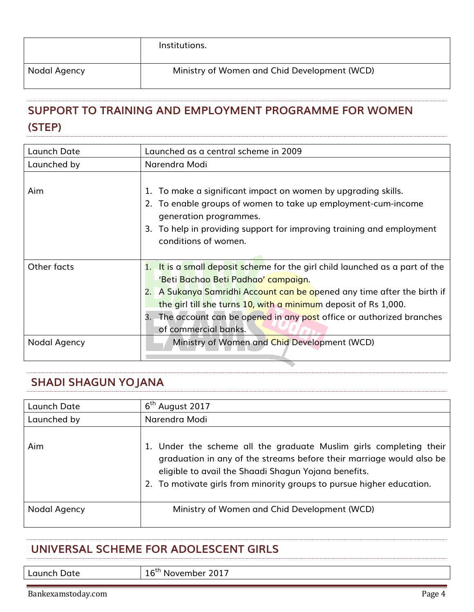|              | Institutions.                                |  |
|--------------|----------------------------------------------|--|
| Nodal Agency | Ministry of Women and Chid Development (WCD) |  |

# **[SUPPORT TO TRAINING AND EMPLOYMENT PROGRAMME FOR WOMEN](http://www.wcd.nic.in/schemes/support-training-and-employment-programme-women-step)  [\(STEP\)](http://www.wcd.nic.in/schemes/support-training-and-employment-programme-women-step)**

| Launch Date  | Launched as a central scheme in 2009                                                                                                                                                                                                                                                                                                                                   |
|--------------|------------------------------------------------------------------------------------------------------------------------------------------------------------------------------------------------------------------------------------------------------------------------------------------------------------------------------------------------------------------------|
| Launched by  | Narendra Modi                                                                                                                                                                                                                                                                                                                                                          |
| Aim          | 1. To make a significant impact on women by upgrading skills.<br>2. To enable groups of women to take up employment-cum-income<br>generation programmes.<br>To help in providing support for improving training and employment<br>3.<br>conditions of women.                                                                                                           |
| Other facts  | 1. It is a small deposit scheme for the girl child launched as a part of the<br>'Beti Bachao Beti Padhao' campaign.<br>A Sukanya Samridhi Account can be opened any time after the birth if<br>2.<br>the girl till she turns 10, with a minimum deposit of Rs 1,000.<br>3. The account can be opened in any post office or authorized branches<br>of commercial banks. |
| Nodal Agency | Ministry of Women and Chid Development (WCD)                                                                                                                                                                                                                                                                                                                           |

## **SHADI SHAGUN YOJANA**

| Launch Date  | 6 <sup>th</sup> August 2017                                                                                                                                                                                                                                                 |
|--------------|-----------------------------------------------------------------------------------------------------------------------------------------------------------------------------------------------------------------------------------------------------------------------------|
| Launched by  | Narendra Modi                                                                                                                                                                                                                                                               |
| Aim          | 1. Under the scheme all the graduate Muslim girls completing their<br>graduation in any of the streams before their marriage would also be<br>eligible to avail the Shaadi Shagun Yojana benefits.<br>2. To motivate girls from minority groups to pursue higher education. |
| Nodal Agency | Ministry of Women and Chid Development (WCD)                                                                                                                                                                                                                                |

#### **UNIVERSAL SCHEME FOR ADOLESCENT GIRLS**

Launch Date 16<sup>th</sup> November 2017

Bankexamstoday.com Page 4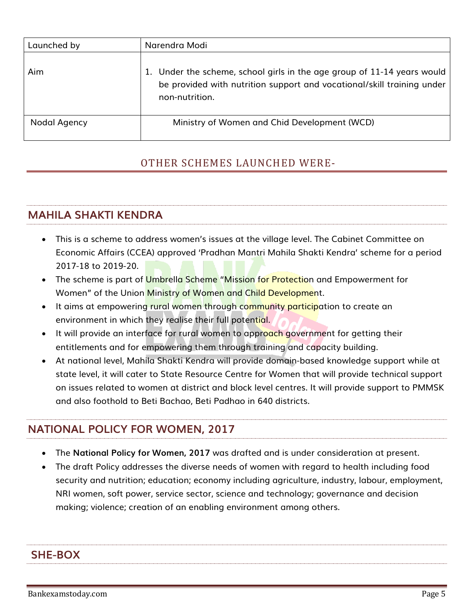| Launched by  | Narendra Modi                                                                                                                                                       |
|--------------|---------------------------------------------------------------------------------------------------------------------------------------------------------------------|
| Aim          | 1. Under the scheme, school girls in the age group of 11-14 years would<br>be provided with nutrition support and vocational/skill training under<br>non-nutrition. |
| Nodal Agency | Ministry of Women and Chid Development (WCD)                                                                                                                        |

#### OTHER SCHEMES LAUNCHED WERE-

## **MAHILA SHAKTI KENDRA**

- This is a scheme to address women's issues at the village level. The Cabinet Committee on Economic Affairs (CCEA) approved 'Pradhan Mantri Mahila Shakti Kendra' scheme for a period 2017-18 to 2019-20.
- The scheme is part of Umbrella Scheme "Mission for Protection and Empowerment for Women" of the Union Ministry of Women and Child Development.
- It aims at empowering rural women through community participation to create an environment in which they realise their full potential.
- It will provide an interface for rural women to approach government for getting their entitlements and for empowering them through training and capacity building.
- At national level, Mahila Shakti Kendra will provide domain-based knowledge support while at state level, it will cater to State Resource Centre for Women that will provide technical support on issues related to women at district and block level centres. It will provide support to PMMSK and also foothold to Beti Bachao, Beti Padhao in 640 districts.

## **NATIONAL POLICY FOR WOMEN, 2017**

- The **National Policy for Women, 2017** was drafted and is under consideration at present.
- The draft Policy addresses the diverse needs of women with regard to health including food security and nutrition; education; economy including agriculture, industry, labour, employment, NRI women, soft power, service sector, science and technology; governance and decision making; violence; creation of an enabling environment among others.

#### **SHE-BOX**